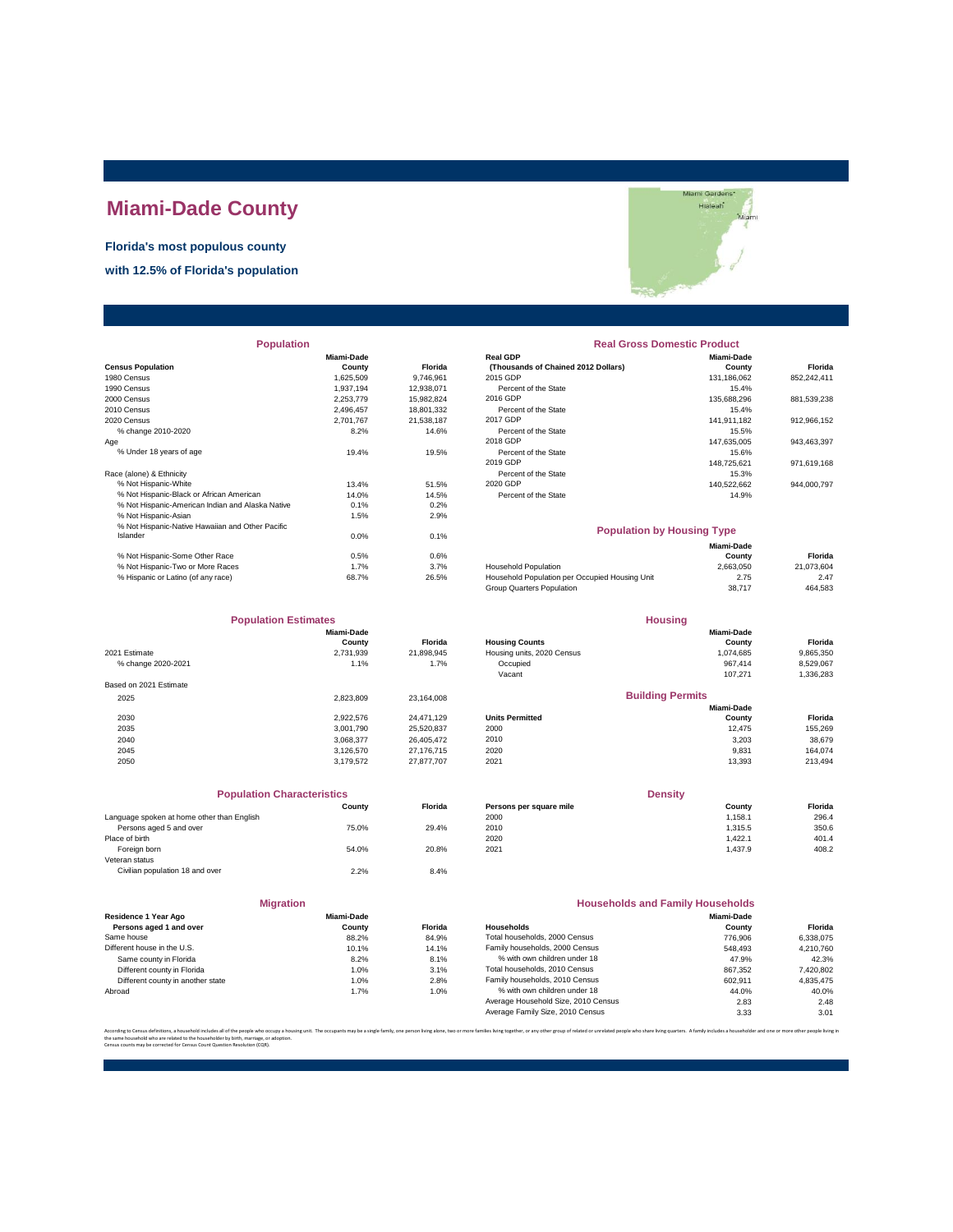## **Miami-Dade County**

## **Florida's most populous county**

**with 12.5% of Florida's population**

| <b>Population</b>                                |            |                | <b>Real Gross Domestic Product</b>             |             |             |  |
|--------------------------------------------------|------------|----------------|------------------------------------------------|-------------|-------------|--|
|                                                  | Miami-Dade |                | <b>Real GDP</b>                                | Miami-Dade  |             |  |
| <b>Census Population</b>                         | County     | <b>Florida</b> | (Thousands of Chained 2012 Dollars)            | County      | Florida     |  |
| 1980 Census                                      | 1,625,509  | 9.746.961      | 2015 GDP                                       | 131.186.062 | 852,242,411 |  |
| 1990 Census                                      | 1,937,194  | 12,938,071     | Percent of the State                           | 15.4%       |             |  |
| 2000 Census                                      | 2,253,779  | 15,982,824     | 2016 GDP                                       | 135,688,296 | 881,539,238 |  |
| 2010 Census                                      | 2,496,457  | 18,801,332     | Percent of the State                           | 15.4%       |             |  |
| 2020 Census                                      | 2,701,767  | 21,538,187     | 2017 GDP                                       | 141,911,182 | 912,966,152 |  |
| % change 2010-2020                               | 8.2%       | 14.6%          | Percent of the State                           | 15.5%       |             |  |
| Age                                              |            |                | 2018 GDP                                       | 147.635.005 | 943,463,397 |  |
| % Under 18 years of age                          | 19.4%      | 19.5%          | Percent of the State                           | 15.6%       |             |  |
|                                                  |            |                | 2019 GDP                                       | 148.725.621 | 971,619,168 |  |
| Race (alone) & Ethnicity                         |            |                | Percent of the State                           | 15.3%       |             |  |
| % Not Hispanic-White                             | 13.4%      | 51.5%          | 2020 GDP                                       | 140,522,662 | 944,000,797 |  |
| % Not Hispanic-Black or African American         | 14.0%      | 14.5%          | Percent of the State                           | 14.9%       |             |  |
| % Not Hispanic-American Indian and Alaska Native | 0.1%       | 0.2%           |                                                |             |             |  |
| % Not Hispanic-Asian                             | 1.5%       | 2.9%           |                                                |             |             |  |
| % Not Hispanic-Native Hawaiian and Other Pacific |            |                | <b>Population by Housing Type</b>              |             |             |  |
| Islander                                         | 0.0%       | 0.1%           |                                                |             |             |  |
|                                                  |            |                |                                                | Miami-Dade  |             |  |
| % Not Hispanic-Some Other Race                   | 0.5%       | 0.6%           |                                                | County      | Florida     |  |
| % Not Hispanic-Two or More Races                 | 1.7%       | 3.7%           | <b>Household Population</b>                    | 2,663,050   | 21,073,604  |  |
| % Hispanic or Latino (of any race)               | 68.7%      | 26.5%          | Household Population per Occupied Housing Unit | 2.75        | 2.47        |  |

| Miami Gardens* |
|----------------|
| <b>Hialeah</b> |
| Miami          |
|                |
|                |
|                |
|                |
|                |
|                |
|                |

| <b>Population</b>                                |                   |            | <b>Real Gross Domestic Product</b>  |                   |             |  |
|--------------------------------------------------|-------------------|------------|-------------------------------------|-------------------|-------------|--|
|                                                  | <b>Miami-Dade</b> |            | <b>Real GDP</b>                     | <b>Miami-Dade</b> |             |  |
| sus Population                                   | County            | Florida    | (Thousands of Chained 2012 Dollars) | County            | Florida     |  |
| 0 Census                                         | 1.625.509         | 9.746.961  | 2015 GDP                            | 131.186.062       | 852.242.411 |  |
| 0 Census                                         | 1.937.194         | 12.938.071 | Percent of the State                | 15.4%             |             |  |
| 0 Census                                         | 2.253.779         | 15.982.824 | 2016 GDP                            | 135.688.296       | 881,539,238 |  |
| 0 Census                                         | 2.496.457         | 18,801,332 | Percent of the State                | 15.4%             |             |  |
| 0 Census                                         | 2.701.767         | 21.538.187 | 2017 GDP                            | 141.911.182       | 912.966.152 |  |
| % change 2010-2020                               | 8.2%              | 14.6%      | Percent of the State                | 15.5%             |             |  |
|                                                  |                   |            | 2018 GDP                            | 147.635.005       | 943.463.397 |  |
| % Under 18 years of age                          | 19.4%             | 19.5%      | Percent of the State                | 15.6%             |             |  |
|                                                  |                   |            | 2019 GDP                            | 148.725.621       | 971,619,168 |  |
| e (alone) & Ethnicity                            |                   |            | Percent of the State                | 15.3%             |             |  |
| % Not Hispanic-White                             | 13.4%             | 51.5%      | 2020 GDP                            | 140.522.662       | 944,000,797 |  |
| % Not Hispanic-Black or African American         | 14.0%             | 14.5%      | Percent of the State                | 14.9%             |             |  |
| % Not Hiepanic American Indian and Alacka Native | 0.101             | 0.291      |                                     |                   |             |  |

| <b>Population by Housing Type</b>              |                      |            |
|------------------------------------------------|----------------------|------------|
|                                                | Miami-Dade<br>County | Florida    |
| <b>Household Population</b>                    | 2.663.050            | 21.073.604 |
| Household Population per Occupied Housing Unit | 2.75                 | 2.47       |
| Group Quarters Population                      | 38.717               | 464.583    |

**Housing**

**Florida**<br>9,865,350<br>8,529,067<br>1,336,283

| <b>Population Estimates</b> |            |                | <b>Housing</b>             |                         |           |
|-----------------------------|------------|----------------|----------------------------|-------------------------|-----------|
|                             | Miami-Dade |                |                            | Miami-Dade              |           |
|                             | County     | <b>Florida</b> | <b>Housing Counts</b>      | County                  | Florida   |
| 2021 Estimate               | 2,731,939  | 21,898,945     | Housing units, 2020 Census | 1,074,685               | 9,865,350 |
| % change 2020-2021          | 1.1%       | 1.7%           | Occupied                   | 967.414                 | 8,529,067 |
|                             |            |                | Vacant                     | 107,271                 | 1,336,283 |
| Based on 2021 Estimate      |            |                |                            |                         |           |
| 2025                        | 2.823.809  | 23.164.008     |                            | <b>Building Permits</b> |           |
|                             |            |                |                            | Miami-Dade              |           |
| 2030                        | 2.922.576  | 24.471.129     | <b>Units Permitted</b>     | County                  | Florida   |
| 2035                        | 3,001,790  | 25,520,837     | 2000                       | 12,475                  | 155,269   |
| 2040                        | 3.068.377  | 26.405.472     | 2010                       | 3.203                   | 38,679    |
| 2045                        | 3.126.570  | 27.176.715     | 2020                       | 9,831                   | 164.074   |
| 2050                        | 3.179.572  | 27.877.707     | 2021                       | 13.393                  | 213,494   |
|                             |            |                |                            |                         |           |

| <b>Population Characteristics</b>          |        | <b>Density</b> |                         |         |         |
|--------------------------------------------|--------|----------------|-------------------------|---------|---------|
|                                            | County | Florida        | Persons per square mile | County  | Florida |
| Language spoken at home other than English |        |                | 2000                    | 1.158.1 | 296.4   |
| Persons aged 5 and over                    | 75.0%  | 29.4%          | 2010                    | 1.315.5 | 350.6   |
| Place of birth                             |        |                | 2020                    | 1.422.1 | 401.4   |
| Foreign born                               | 54.0%  | 20.8%          | 2021                    | 1.437.9 | 408.2   |
| Veteran status                             |        |                |                         |         |         |
| Civilian population 18 and over            | 2.2%   | 8.4%           |                         |         |         |

|                                            |           |                |                         | mani-vauc      |         |
|--------------------------------------------|-----------|----------------|-------------------------|----------------|---------|
| 2030                                       | 2,922,576 | 24.471.129     | <b>Units Permitted</b>  | County         | Florida |
| 2035                                       | 3.001.790 | 25,520,837     | 2000                    | 12.475         | 155,269 |
| 2040                                       | 3,068,377 | 26.405.472     | 2010                    | 3.203          | 38,679  |
| 2045                                       | 3,126,570 | 27,176,715     | 2020                    | 9,831          | 164,074 |
| 2050                                       | 3,179,572 | 27,877,707     | 2021                    | 13,393         | 213,494 |
|                                            |           |                |                         |                |         |
| <b>Population Characteristics</b>          |           |                |                         | <b>Density</b> |         |
|                                            | County    | <b>Florida</b> | Persons per square mile | County         | Florida |
| Language spoken at home other than English |           |                | 2000                    | 1.158.1        | 296.4   |
| Persons aged 5 and over                    | 75.0%     | 29.4%          | 2010                    | 1.315.5        | 350.6   |
| Place of birth                             |           |                | 2020                    | 1.422.1        | 401.4   |
|                                            |           |                |                         |                |         |

|                                   | <b>Migration</b>  |                |                     |
|-----------------------------------|-------------------|----------------|---------------------|
| Residence 1 Year Ago              | <b>Miami-Dade</b> |                |                     |
| Persons aged 1 and over           | County            | <b>Florida</b> | Households          |
| Same house                        | 88.2%             | 84.9%          | <b>Total houser</b> |
| Different house in the U.S.       | 10.1%             | 14.1%          | Family house        |
| Same county in Florida            | 8.2%              | 8.1%           | % with ov           |
| Different county in Florida       | 1.0%              | 3.1%           | <b>Total houser</b> |
| Different county in another state | 1.0%              | 2.8%           | Family house        |
| Abroad                            | 1.7%              | 1.0%           | % with ov           |
|                                   |                   |                | Average Hou         |

| <b>Migration</b>                  |            |                | <b>Households and Family Households</b> |            |           |
|-----------------------------------|------------|----------------|-----------------------------------------|------------|-----------|
| Residence 1 Year Ago              | Miami-Dade |                |                                         | Miami-Dade |           |
| Persons aged 1 and over           | County     | <b>Florida</b> | <b>Households</b>                       | County     | Florida   |
| Same house                        | 88.2%      | 84.9%          | Total households, 2000 Census           | 776,906    | 6,338,075 |
| Different house in the U.S.       | 10.1%      | 14.1%          | Family households, 2000 Census          | 548,493    | 4,210,760 |
| Same county in Florida            | 8.2%       | 8.1%           | % with own children under 18            | 47.9%      | 42.3%     |
| Different county in Florida       | 1.0%       | 3.1%           | Total households, 2010 Census           | 867.352    | 7,420,802 |
| Different county in another state | 1.0%       | 2.8%           | Family households, 2010 Census          | 602.911    | 4.835.475 |
| Abroad                            | 1.7%       | 1.0%           | % with own children under 18            | 44.0%      | 40.0%     |
|                                   |            |                | Average Household Size, 2010 Census     | 2.83       | 2.48      |
|                                   |            |                | Average Family Size, 2010 Census        | 3.33       | 3.01      |

According to Census definitions, a household includes all of the people who occupy a housing unit. The occupants may be a single family, one person living back, two or more families living together, or any other group of r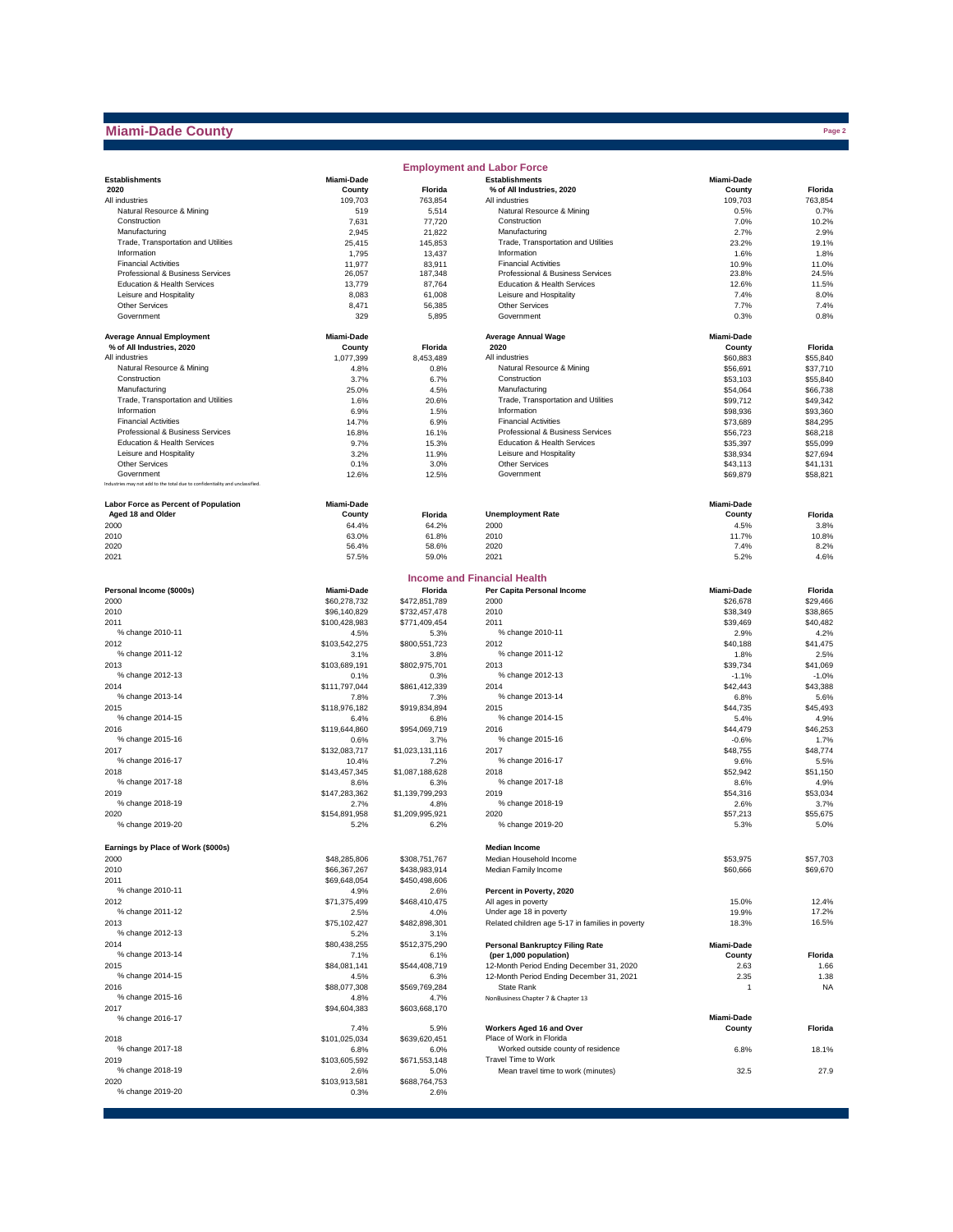## **Miami-Dade County**

|                                                                              |                       |                         | <b>Employment and Labor Force</b>                               |                      |                      |
|------------------------------------------------------------------------------|-----------------------|-------------------------|-----------------------------------------------------------------|----------------------|----------------------|
| <b>Establishments</b>                                                        | Miami-Dade            |                         | <b>Establishments</b>                                           | Miami-Dade           |                      |
| 2020                                                                         | County                | Florida                 | % of All Industries, 2020                                       | County               | Florida              |
| All industries                                                               | 109.703               | 763,854                 | All industries                                                  | 109,703              | 763,854              |
| Natural Resource & Mining<br>Construction                                    | 519<br>7,631          | 5,514<br>77,720         | Natural Resource & Mining<br>Construction                       | 0.5%<br>7.0%         | 0.7%<br>10.2%        |
| Manufacturing                                                                | 2,945                 | 21,822                  | Manufacturing                                                   | 2.7%                 | 2.9%                 |
| Trade, Transportation and Utilities                                          | 25,415                | 145,853                 | Trade, Transportation and Utilities                             | 23.2%                | 19.1%                |
| Information                                                                  | 1,795                 | 13,437                  | Information                                                     | 1.6%                 | 1.8%                 |
| <b>Financial Activities</b>                                                  | 11,977                | 83,911                  | <b>Financial Activities</b>                                     | 10.9%                | 11.0%                |
| Professional & Business Services<br>Education & Health Services              | 26,057<br>13,779      | 187,348<br>87,764       | Professional & Business Services<br>Education & Health Services | 23.8%<br>12.6%       | 24.5%<br>11.5%       |
| Leisure and Hospitality                                                      | 8,083                 | 61,008                  | Leisure and Hospitality                                         | 7.4%                 | 8.0%                 |
| <b>Other Services</b>                                                        | 8,471                 | 56,385                  | <b>Other Services</b>                                           | 7.7%                 | 7.4%                 |
| Government                                                                   | 329                   | 5,895                   | Government                                                      | 0.3%                 | 0.8%                 |
| <b>Average Annual Employment</b>                                             | Miami-Dade            |                         | Average Annual Wage                                             | Miami-Dade           |                      |
| % of All Industries, 2020                                                    | County                | Florida                 | 2020                                                            | County               | Florida              |
| All industries<br>Natural Resource & Mining                                  | 1,077,399             | 8,453,489               | All industries                                                  | \$60,883             | \$55,840             |
| Construction                                                                 | 4.8%<br>3.7%          | 0.8%<br>6.7%            | Natural Resource & Mining<br>Construction                       | \$56,691<br>\$53,103 | \$37,710<br>\$55,840 |
| Manufacturing                                                                | 25.0%                 | 4.5%                    | Manufacturing                                                   | \$54,064             | \$66,738             |
| Trade, Transportation and Utilities                                          | 1.6%                  | 20.6%                   | Trade, Transportation and Utilities                             | \$99,712             | \$49,342             |
| Information                                                                  | 6.9%                  | 1.5%                    | Information                                                     | \$98,936             | \$93,360             |
| <b>Financial Activities</b>                                                  | 14.7%                 | 6.9%                    | <b>Financial Activities</b>                                     | \$73,689             | \$84,295             |
| Professional & Business Services                                             | 16.8%                 | 16.1%                   | Professional & Business Services                                | \$56,723             | \$68,218             |
| Education & Health Services                                                  | 9.7%                  | 15.3%                   | Education & Health Services<br>Leisure and Hospitality          | \$35,397             | \$55,099             |
| Leisure and Hospitality<br><b>Other Services</b>                             | 3.2%<br>0.1%          | 11.9%<br>3.0%           | <b>Other Services</b>                                           | \$38,934<br>\$43,113 | \$27,694<br>\$41,131 |
| Government                                                                   | 12.6%                 | 12.5%                   | Government                                                      | \$69,879             | \$58,821             |
| Industries may not add to the total due to confidentiality and unclassified. |                       |                         |                                                                 |                      |                      |
| Labor Force as Percent of Population                                         | Miami-Dade            |                         |                                                                 | Miami-Dade           |                      |
| Aged 18 and Older<br>2000                                                    | County<br>64.4%       | Florida<br>64.2%        | <b>Unemployment Rate</b><br>2000                                | County<br>4.5%       | Florida<br>3.8%      |
| 2010                                                                         | 63.0%                 | 61.8%                   | 2010                                                            | 11.7%                | 10.8%                |
| 2020                                                                         | 56.4%                 | 58.6%                   | 2020                                                            | 7.4%                 | 8.2%                 |
| 2021                                                                         | 57.5%                 | 59.0%                   | 2021                                                            | 5.2%                 | 4.6%                 |
|                                                                              |                       |                         | <b>Income and Financial Health</b>                              |                      |                      |
| Personal Income (\$000s)                                                     | Miami-Dade            | Florida                 | Per Capita Personal Income                                      | Miami-Dade           | Florida              |
| 2000                                                                         | \$60,278,732          | \$472,851,789           | 2000                                                            | \$26,678             | \$29,466             |
| 2010                                                                         | \$96,140,829          | \$732,457,478           | 2010                                                            | \$38,349             | \$38,865             |
| 2011                                                                         | \$100,428,983         | \$771,409,454           | 2011                                                            | \$39,469             | \$40,482             |
| % change 2010-11                                                             | 4.5%                  | 5.3%                    | % change 2010-11                                                | 2.9%                 | 4.2%                 |
| 2012                                                                         | \$103,542,275         | \$800,551,723           | 2012                                                            | \$40,188             | \$41,475             |
| % change 2011-12<br>2013                                                     | 3.1%<br>\$103,689,191 | 3.8%<br>\$802,975,701   | % change 2011-12<br>2013                                        | 1.8%<br>\$39,734     | 2.5%<br>\$41,069     |
| % change 2012-13                                                             | 0.1%                  | 0.3%                    | % change 2012-13                                                | $-1.1%$              | $-1.0%$              |
| 2014                                                                         | \$111,797,044         | \$861,412,339           | 2014                                                            | \$42,443             | \$43,388             |
| % change 2013-14                                                             | 7.8%                  | 7.3%                    | % change 2013-14                                                | 6.8%                 | 5.6%                 |
| 2015                                                                         | \$118,976,182         | \$919,834,894           | 2015                                                            | \$44,735             | \$45,493             |
| % change 2014-15                                                             | 6.4%                  | 6.8%                    | % change 2014-15                                                | 5.4%                 | 4.9%                 |
| 2016                                                                         | \$119,644,860         | \$954,069,719           | 2016                                                            | \$44,479             | \$46,253             |
| % change 2015-16<br>2017                                                     | 0.6%<br>\$132,083,717 | 3.7%<br>\$1,023,131,116 | % change 2015-16<br>2017                                        | $-0.6%$<br>\$48,755  | 1.7%<br>\$48,774     |
| % change 2016-17                                                             | 10.4%                 | 7.2%                    | % change 2016-17                                                | 9.6%                 | 5.5%                 |
| 2018                                                                         | \$143,457,345         | \$1,087,188,628         | 2018                                                            | \$52,942             | \$51.150             |
| % change 2017-18                                                             | 8.6%                  | 6.3%                    | % change 2017-18                                                | 8.6%                 | 4.9%                 |
| 2019                                                                         | \$147,283,362         | \$1,139,799,293         | 2019                                                            | \$54,316             | \$53.034             |
| % change 2018-19                                                             | 2.7%                  | 4.8%                    | % change 2018-19                                                | 2.6%                 | 3.7%                 |
| 2020<br>% change 2019-20                                                     | \$154,891,958<br>5.2% | \$1,209,995.921<br>6.2% | 2020<br>% change 2019-20                                        | \$57,213<br>5.3%     | \$55,675<br>5.0%     |
|                                                                              |                       |                         |                                                                 |                      |                      |
| Earnings by Place of Work (\$000s)<br>2000                                   | \$48,285,806          | \$308,751,767           | <b>Median Income</b><br>Median Household Income                 | \$53,975             | \$57,703             |
| 2010                                                                         | \$66,367,267          | \$438,983,914           | Median Family Income                                            | \$60,666             | \$69,670             |
| 2011                                                                         | \$69,648,054          | \$450,498,606           |                                                                 |                      |                      |
| % change 2010-11                                                             | 4.9%                  | 2.6%                    | Percent in Poverty, 2020                                        |                      |                      |
| 2012                                                                         | \$71,375,499          | \$468,410,475           | All ages in poverty                                             | 15.0%                | 12.4%                |
| % change 2011-12                                                             | 2.5%                  | 4.0%                    | Under age 18 in poverty                                         | 19.9%                | 17.2%                |
| 2013<br>% change 2012-13                                                     | \$75,102,427          | \$482,898,301           | Related children age 5-17 in families in poverty                | 18.3%                | 16.5%                |
| 2014                                                                         | 5.2%<br>\$80,438,255  | 3.1%<br>\$512,375,290   | <b>Personal Bankruptcy Filing Rate</b>                          | Miami-Dade           |                      |
| % change 2013-14                                                             | 7.1%                  | 6.1%                    | (per 1,000 population)                                          | County               | Florida              |
| 2015                                                                         | \$84,081,141          | \$544,408,719           | 12-Month Period Ending December 31, 2020                        | 2.63                 | 1.66                 |
| % change 2014-15                                                             | 4.5%                  | 6.3%                    | 12-Month Period Ending December 31, 2021                        | 2.35                 | 1.38                 |
| 2016                                                                         | \$88,077,308          | \$569,769,284           | State Rank                                                      | $\mathbf{1}$         | <b>NA</b>            |
| % change 2015-16<br>2017                                                     | 4.8%<br>\$94,604,383  | 4.7%<br>\$603,668,170   | NonBusiness Chapter 7 & Chapter 13                              |                      |                      |
| % change 2016-17                                                             |                       |                         |                                                                 | Miami-Dade           |                      |
|                                                                              | 7.4%<br>\$101,025,034 | 5.9%                    | Workers Aged 16 and Over<br>Place of Work in Florida            | County               | Florida              |
| 2018<br>% change 2017-18                                                     | 6.8%                  | \$639,620,451<br>6.0%   | Worked outside county of residence                              | 6.8%                 | 18.1%                |
| 2019                                                                         | \$103,605,592         | \$671,553,148           | Travel Time to Work                                             |                      |                      |
| % change 2018-19                                                             | 2.6%                  | 5.0%                    | Mean travel time to work (minutes)                              | 32.5                 | 27.9                 |
| 2020                                                                         | \$103,913,581         | \$688,764,753           |                                                                 |                      |                      |
| % change 2019-20                                                             | 0.3%                  | 2.6%                    |                                                                 |                      |                      |